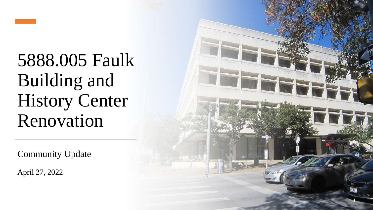

5888.005 Faulk Building and History Center Renovation

Community Update

April 27, 2022

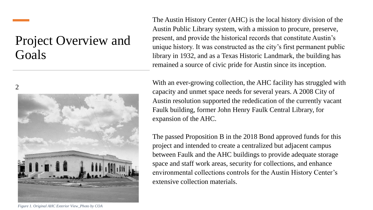### Project Overview and Goals

2



The Austin History Center (AHC) is the local history division of the Austin Public Library system, with a mission to procure, preserve, present, and provide the historical records that constitute Austin's unique history. It was constructed as the city's first permanent public library in 1932, and as a Texas Historic Landmark, the building has remained a source of civic pride for Austin since its inception.

With an ever-growing collection, the AHC facility has struggled with capacity and unmet space needs for several years. A 2008 City of Austin resolution supported the rededication of the currently vacant Faulk building, former John Henry Faulk Central Library, for expansion of the AHC.

The passed Proposition B in the 2018 Bond approved funds for this project and intended to create a centralized but adjacent campus between Faulk and the AHC buildings to provide adequate storage space and staff work areas, security for collections, and enhance environmental collections controls for the Austin History Center's extensive collection materials.

*Figure 1. Original AHC Exterior View\_Photo by COA*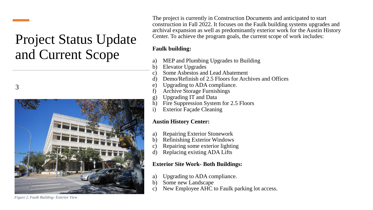## Project Status Update and Current Scope





The project is currently in Construction Documents and anticipated to start construction in Fall 2022. It focuses on the Faulk building systems upgrades and archival expansion as well as predominantly exterior work for the Austin History Center. To achieve the program goals, the current scope of work includes:

#### **Faulk building:**

- a) MEP and Plumbing Upgrades to Building
- b) Elevator Upgrades
- c) Some Asbestos and Lead Abatement
- d) Demo/Refinish of 2.5 Floors for Archives and Offices
- e) Upgrading to ADA compliance.
- f) Archive Storage Furnishings
- g) Upgrading IT and Data
- h) Fire Suppression System for 2.5 Floors
- i) Exterior Façade Cleaning

#### **Austin History Center:**

- a) Repairing Exterior Stonework
- b) Refinishing Exterior Windows
- c) Repairing some exterior lighting
- d) Replacing existing ADA Lifts

#### **Exterior Site Work- Both Buildings:**

- a) Upgrading to ADA compliance.
- b) Some new Landscape
- c) New Employee AHC to Faulk parking lot access.

*Figure 2. Faulk Building- Exterior View*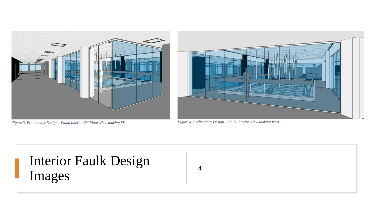

*Figure 3. Preliminary Design - Faulk Interior 2nd Floor View looking SE Figure 4. Preliminary Design - Faulk Interior View looking West*



# Interior Faulk Design Images

4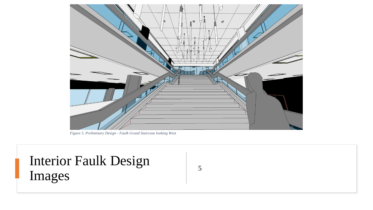

*Figure 5. Preliminary Design - Faulk Grand Staircase looking West*

## Interior Faulk Design Images

5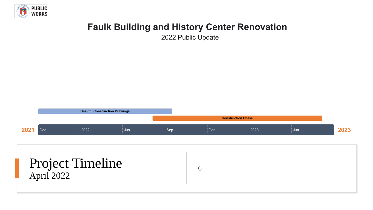

### **Faulk Building and History Center Renovation**

2022 Public Update